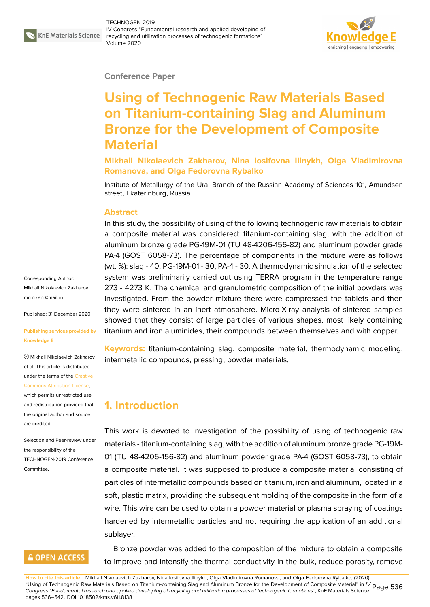

#### **Conference Paper**

# **Using of Technogenic Raw Materials Based on Titanium-containing Slag and Aluminum Bronze for the Development of Composite Material**

**Mikhail Nikolaevich Zakharov, Nina Iosifovna Ilinykh, Olga Vladimirovna Romanova, and Olga Fedorovna Rybalko**

Institute of Metallurgy of the Ural Branch of the Russian Academy of Sciences 101, Amundsen street, Ekaterinburg, Russia

#### **Abstract**

In this study, the possibility of using of the following technogenic raw materials to obtain a composite material was considered: titanium-containing slag, with the addition of aluminum bronze grade PG-19M-01 (TU 48-4206-156-82) and aluminum powder grade PA-4 (GOST 6058-73). The percentage of components in the mixture were as follows (wt. %): slag - 40, PG-19M-01 - 30, PA-4 - 30. A thermodynamic simulation of the selected system was preliminarily carried out using TERRA program in the temperature range 273 - 4273 K. The chemical and granulometric composition of the initial powders was investigated. From the powder mixture there were compressed the tablets and then they were sintered in an inert atmosphere. Micro-X-ray analysis of sintered samples showed that they consist of large particles of various shapes, most likely containing titanium and iron aluminides, their compounds between themselves and with copper.

**Keywords:** titanium-containing slag, composite material, thermodynamic modeling, intermetallic compounds, pressing, powder materials.

#### **1. Introduction**

This work is devoted to investigation of the possibility of using of technogenic raw materials - titanium-containing slag, with the addition of aluminum bronze grade PG-19M-01 (TU 48-4206-156-82) and aluminum powder grade PA-4 (GOST 6058-73), to obtain a composite material. It was supposed to produce a composite material consisting of particles of intermetallic compounds based on titanium, iron and aluminum, located in a soft, plastic matrix, providing the subsequent molding of the composite in the form of a wire. This wire can be used to obtain a powder material or plasma spraying of coatings hardened by intermetallic particles and not requiring the application of an additional sublayer.

Bronze powder was added to the composition of the mixture to obtain a composite to improve and intensify the thermal conductivity in the bulk, reduce porosity, remove

**How to cite this article**: Mikhail Nikolaevich Zakharov, Nina Iosifovna Ilinykh, Olga Vladimirovna Romanova, and Olga Fedorovna Rybalko, (2020), "Using of Technogenic Raw Materials Based on Titanium-containing Slag and Aluminum Bronze for the Development of Composite Material" in *IV* Page 536 *Congress "Fundamental research and applied developing of recycling and utilization processes of technogenic formations"*, KnE Materials Science, pages 536–542. DOI 10.18502/kms.v6i1.8138

Corresponding Author: Mikhail Nikolaevich Zakharov mr.mizani@mail.ru

Published: 31 December 2020

#### **[Publishing service](mailto:mr.mizani@mail.ru)s provided by Knowledge E**

Mikhail Nikolaevich Zakharov et al. This article is distributed under the terms of the Creative Commons Attribution License,

which permits unrestricted use and redistribution provided that the original author and [source](https://creativecommons.org/licenses/by/4.0/) [are credited.](https://creativecommons.org/licenses/by/4.0/)

Selection and Peer-review under the responsibility of the TECHNOGEN-2019 Conference Committee.

### **GOPEN ACCESS**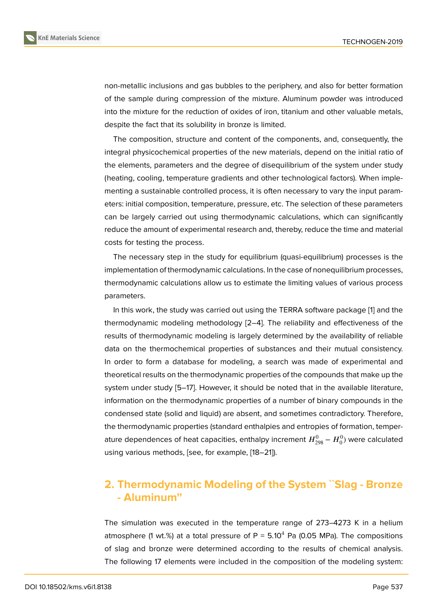non-metallic inclusions and gas bubbles to the periphery, and also for better formation of the sample during compression of the mixture. Aluminum powder was introduced into the mixture for the reduction of oxides of iron, titanium and other valuable metals, despite the fact that its solubility in bronze is limited.

The composition, structure and content of the components, and, consequently, the integral physicochemical properties of the new materials, depend on the initial ratio of the elements, parameters and the degree of disequilibrium of the system under study (heating, cooling, temperature gradients and other technological factors). When implementing a sustainable controlled process, it is often necessary to vary the input parameters: initial composition, temperature, pressure, etc. The selection of these parameters can be largely carried out using thermodynamic calculations, which can significantly reduce the amount of experimental research and, thereby, reduce the time and material costs for testing the process.

The necessary step in the study for equilibrium (quasi-equilibrium) processes is the implementation of thermodynamic calculations. In the case of nonequilibrium processes, thermodynamic calculations allow us to estimate the limiting values of various process parameters.

In this work, the study was carried out using the TERRA software package [1] and the thermodynamic modeling methodology [2–4]. The reliability and effectiveness of the results of thermodynamic modeling is largely determined by the availability of reliable data on the thermochemical properties of substances and their mutual co[n](#page-5-0)sistency. In order to form a database for modeli[ng](#page-5-1), [a](#page-5-2) search was made of experimental and theoretical results on the thermodynamic properties of the compounds that make up the system under study [5–17]. However, it should be noted that in the available literature, information on the thermodynamic properties of a number of binary compounds in the condensed state (solid and liquid) are absent, and sometimes contradictory. Therefore, the thermodynamic [pro](#page-5-3)[pe](#page-6-0)rties (standard enthalpies and entropies of formation, temperature dependences of heat capacities, enthalpy increment  $H_{298}^0$  –  $H_0^0)$  were calculated using various methods, [see, for example, [18–21]).

# **2. Thermodynamic Modelin[g o](#page-6-1)[f t](#page-6-2)he System ˋˋSlag - Bronze - Aluminum''**

The simulation was executed in the temperature range of 273–4273 K in a helium atmosphere (1 wt.%) at a total pressure of  $P = 5.10^4$  Pa (0.05 MPa). The compositions of slag and bronze were determined according to the results of chemical analysis. The following 17 elements were included in the composition of the modeling system: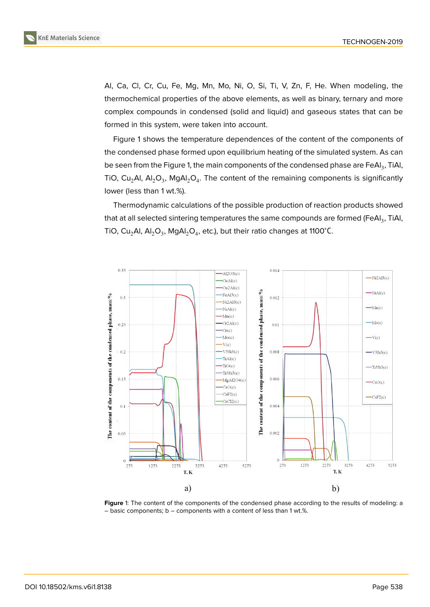Al, Ca, Cl, Cr, Cu, Fe, Mg, Mn, Mo, Ni, O, Si, Ti, V, Zn, F, He. When modeling, the thermochemical properties of the above elements, as well as binary, ternary and more complex compounds in condensed (solid and liquid) and gaseous states that can be formed in this system, were taken into account.

Figure 1 shows the temperature dependences of the content of the components of the condensed phase formed upon equilibrium heating of the simulated system. As can be seen from the Figure 1, the main components of the condensed phase are FeAl $_3$ , TiAl, TiO, Cu<sub>2</sub>AI, AI<sub>2</sub>O<sub>3</sub>, MgAI<sub>2</sub>O<sub>4</sub>. The content of the remaining components is significantly lower (less than 1 wt.%).

Thermodynamic calc[ul](#page-2-0)ations of the possible production of reaction products showed that at all selected sintering temperatures the same compounds are formed (FeAl $_3$ , TiAl, TiO, Cu<sub>2</sub>Al, Al<sub>2</sub>O<sub>3</sub>, MgAl<sub>2</sub>O<sub>4</sub>, etc.), but their ratio changes at 1100°C.



<span id="page-2-0"></span>Figure 1: The content of the components of the condensed phase according to the results of modeling: a – basic components; b – components with a content of less than 1 wt.%.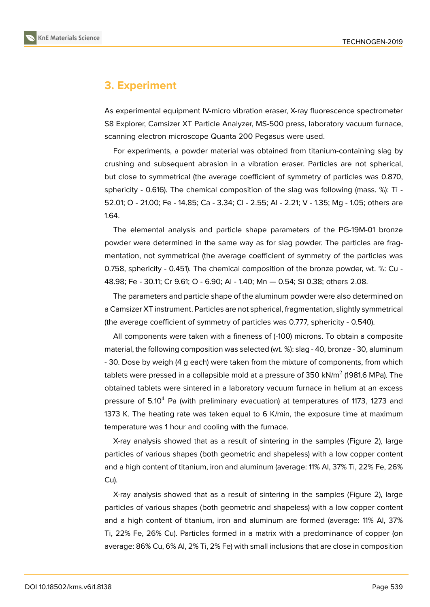## **3. Experiment**

As experimental equipment IV-micro vibration eraser, X-ray fluorescence spectrometer S8 Explorer, Camsizer XT Particle Analyzer, MS-500 press, laboratory vacuum furnace, scanning electron microscope Quanta 200 Pegasus were used.

For experiments, a powder material was obtained from titanium-containing slag by crushing and subsequent abrasion in a vibration eraser. Particles are not spherical, but close to symmetrical (the average coefficient of symmetry of particles was 0.870, sphericity - 0.616). The chemical composition of the slag was following (mass. %): Ti - 52.01; O - 21.00; Fe - 14.85; Ca - 3.34; Cl - 2.55; Al - 2.21; V - 1.35; Mg - 1.05; others are 1.64.

The elemental analysis and particle shape parameters of the PG-19M-01 bronze powder were determined in the same way as for slag powder. The particles are fragmentation, not symmetrical (the average coefficient of symmetry of the particles was 0.758, sphericity - 0.451). The chemical composition of the bronze powder, wt. %: Cu - 48.98; Fe - 30.11; Cr 9.61; O - 6.90; Al - 1.40; Mn — 0.54; Si 0.38; others 2.08.

The parameters and particle shape of the aluminum powder were also determined on a Camsizer XT instrument. Particles are not spherical, fragmentation, slightly symmetrical (the average coefficient of symmetry of particles was 0.777, sphericity - 0.540).

All components were taken with a fineness of (-100) microns. To obtain a composite material, the following composition was selected (wt. %): slag - 40, bronze - 30, aluminum - 30. Dose by weigh (4 g each) were taken from the mixture of components, from which tablets were pressed in a collapsible mold at a pressure of 350 kN/m $^2$  (1981.6 MPa). The obtained tablets were sintered in a laboratory vacuum furnace in helium at an excess pressure of  $5.10<sup>4</sup>$  Pa (with preliminary evacuation) at temperatures of 1173, 1273 and 1373 K. The heating rate was taken equal to 6 K/min, the exposure time at maximum temperature was 1 hour and cooling with the furnace.

X-ray analysis showed that as a result of sintering in the samples (Figure 2), large particles of various shapes (both geometric and shapeless) with a low copper content and a high content of titanium, iron and aluminum (average: 11% Al, 37% Ti, 22% Fe, 26% Cu).

X-ray analysis showed that as a result of sintering in the samples (Figure 2), large particles of various shapes (both geometric and shapeless) with a low copper content and a high content of titanium, iron and aluminum are formed (average: 11% Al, 37% Ti, 22% Fe, 26% Cu). Particles formed in a matrix with a predominance of co[pp](#page-4-0)er (on average: 86% Cu, 6% Al, 2% Ti, 2% Fe) with small inclusions that are close in composition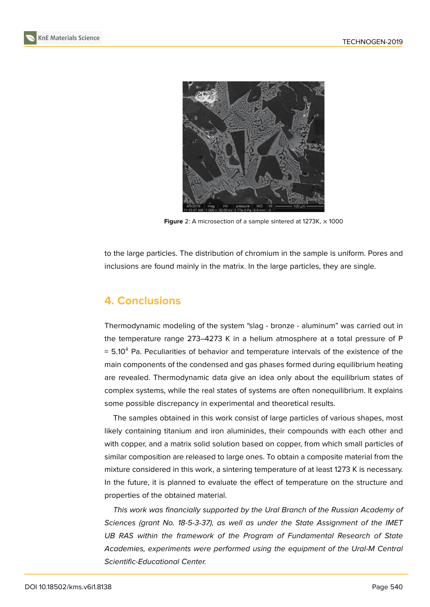



**Figure** 2: A microsection of a sample sintered at 1273K,  $\times$  1000

<span id="page-4-0"></span>to the large particles. The distribution of chromium in the sample is uniform. Pores and inclusions are found mainly in the matrix. In the large particles, they are single.

### **4. Conclusions**

Thermodynamic modeling of the system "slag - bronze - aluminum" was carried out in the temperature range 273–4273 K in a helium atmosphere at a total pressure of P  $= 5.10<sup>4</sup>$  Pa. Peculiarities of behavior and temperature intervals of the existence of the main components of the condensed and gas phases formed during equilibrium heating are revealed. Thermodynamic data give an idea only about the equilibrium states of complex systems, while the real states of systems are often nonequilibrium. It explains some possible discrepancy in experimental and theoretical results.

The samples obtained in this work consist of large particles of various shapes, most likely containing titanium and iron aluminides, their compounds with each other and with copper, and a matrix solid solution based on copper, from which small particles of similar composition are released to large ones. To obtain a composite material from the mixture considered in this work, a sintering temperature of at least 1273 K is necessary. In the future, it is planned to evaluate the effect of temperature on the structure and properties of the obtained material.

*This work was financially supported by the Ural Branch of the Russian Academy of Sciences (grant No. 18-5-3-37), as well as under the State Assignment of the IMET UB RAS within the framework of the Program of Fundamental Research of State Academies, experiments were performed using the equipment of the Ural-M Central Scientific-Educational Center.*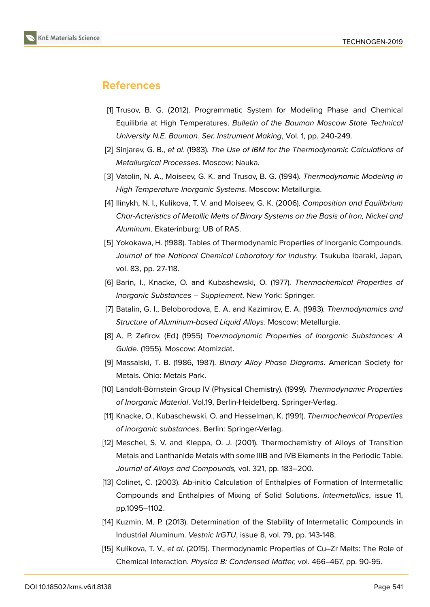

### **References**

- <span id="page-5-0"></span>[1] Trusov, B. G. (2012). Programmatic System for Modeling Phase and Chemical Equilibria at High Temperatures. *Bulletin of the Bauman Moscow State Technical University N.E. Bauman. Ser. Instrument Making*, Vol. 1, pp. 240-249.
- <span id="page-5-1"></span>[2] Sinjarev, G. B., *et al*. (1983). *The Use of IBM for the Thermodynamic Calculations of Metallurgical Processes*. Moscow: Nauka.
- [3] Vatolin, N. A., Moiseev, G. K. and Trusov, B. G. (1994). *Thermodynamic Modeling in High Temperature Inorganic Systems*. Moscow: Metallurgia.
- <span id="page-5-2"></span>[4] Ilinykh, N. I., Kulikova, T. V. and Moiseev, G. K. (2006). *Composition and Equilibrium Char-Acteristics of Metallic Melts of Binary Systems on the Basis of Iron, Nickel and Aluminum*. Ekaterinburg: UB of RAS.
- <span id="page-5-3"></span>[5] Yokokawa, H. (1988). Tables of Thermodynamic Properties of Inorganic Compounds. *Journal of the National Chemical Laboratory for Industry.* Tsukuba Ibaraki, Japan*,* vol. 83, pp. 27-118.
- [6] Barin, I., Knacke, O. and Kubashewski, O. (1977). *Thermochemical Properties of Inorganic Substances – Supplement*. New York: Springer.
- [7] Batalin, G. I., Beloborodova, E. A. and Kazimirov, E. A. (1983). *Thermodynamics and Structure of Aluminum-based Liquid Alloys.* Moscow: Metallurgia.
- [8] A. P. Zefirov. (Ed.) (1955) *Thermodynamic Properties of Inorganic Substances: A Guide.* (1955). Moscow: Atomizdat.
- [9] Massalski, T. B. (1986, 1987). *Binary Alloy Phase Diagrams*. American Society for Metals. Ohio: Metals Park.
- [10] Landolt-Börnstein Group IV (Physical Chemistry). (1999). *Thermodynamic Properties of Inorganic Material*. Vol.19, Berlin-Heidelberg. Springer-Verlag.
- [11] Knacke, O., Kubaschewski, O. and Hesselman, K. (1991). *Thermochemical Properties of inorganic substances*. Berlin: Springer-Verlag.
- [12] Meschel, S. V. and Kleppa, O. J. (2001). Thermochemistry of Alloys of Transition Metals and Lanthanide Metals with some IIIB and IVB Elements in the Periodic Table. *Journal of Alloys and Compounds,* vol. 321, pp. 183–200.
- [13] Colinet, C. (2003). Ab-initio Calculation of Enthalpies of Formation of Intermetallic Compounds and Enthalpies of Mixing of Solid Solutions. *Intermetallics*, issue 11, pp.1095–1102.
- [14] Kuzmin, M. P. (2013). Determination of the Stability of Intermetallic Compounds in Industrial Aluminum. *Vestnic IrGTU*, issue 8, vol. 79, pp. 143-148.
- [15] Kulikova, T. V., *et al*. (2015). Thermodynamic Properties of Cu–Zr Melts: The Role of Chemical Interaction. *Physica B: Condensed Matter,* vol. 466–467, pp. 90-95.